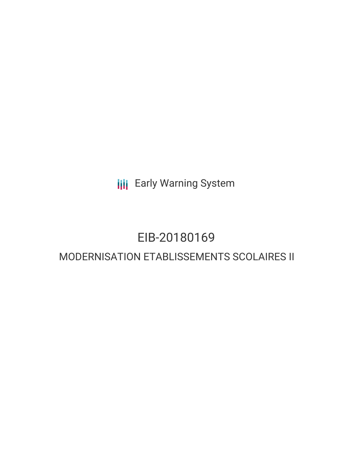**III** Early Warning System

# EIB-20180169

## MODERNISATION ETABLISSEMENTS SCOLAIRES II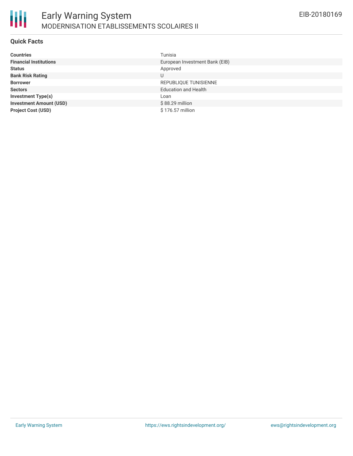

#### **Quick Facts**

| <b>Countries</b>               | Tunisia                        |
|--------------------------------|--------------------------------|
| <b>Financial Institutions</b>  | European Investment Bank (EIB) |
| <b>Status</b>                  | Approved                       |
| <b>Bank Risk Rating</b>        | U                              |
| <b>Borrower</b>                | REPUBLIQUE TUNISIENNE          |
| <b>Sectors</b>                 | <b>Education and Health</b>    |
| <b>Investment Type(s)</b>      | Loan                           |
| <b>Investment Amount (USD)</b> | \$88.29 million                |
| <b>Project Cost (USD)</b>      | \$176.57 million               |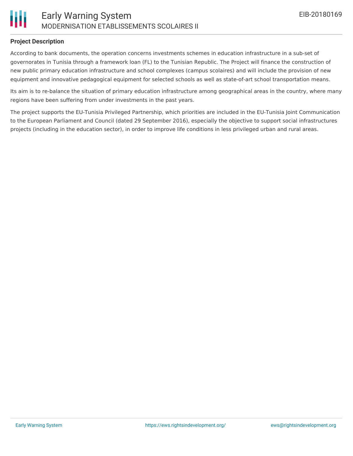

### **Project Description**

According to bank documents, the operation concerns investments schemes in education infrastructure in a sub-set of governorates in Tunisia through a framework loan (FL) to the Tunisian Republic. The Project will finance the construction of new public primary education infrastructure and school complexes (campus scolaires) and will include the provision of new equipment and innovative pedagogical equipment for selected schools as well as state-of-art school transportation means.

Its aim is to re-balance the situation of primary education infrastructure among geographical areas in the country, where many regions have been suffering from under investments in the past years.

The project supports the EU-Tunisia Privileged Partnership, which priorities are included in the EU-Tunisia Joint Communication to the European Parliament and Council (dated 29 September 2016), especially the objective to support social infrastructures projects (including in the education sector), in order to improve life conditions in less privileged urban and rural areas.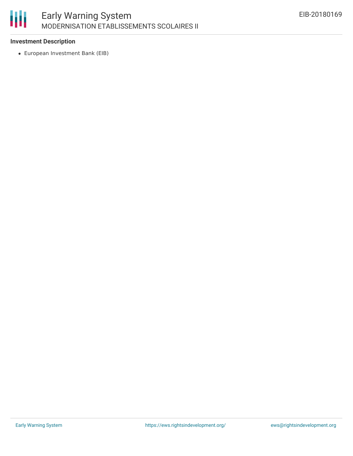

### **Investment Description**

European Investment Bank (EIB)